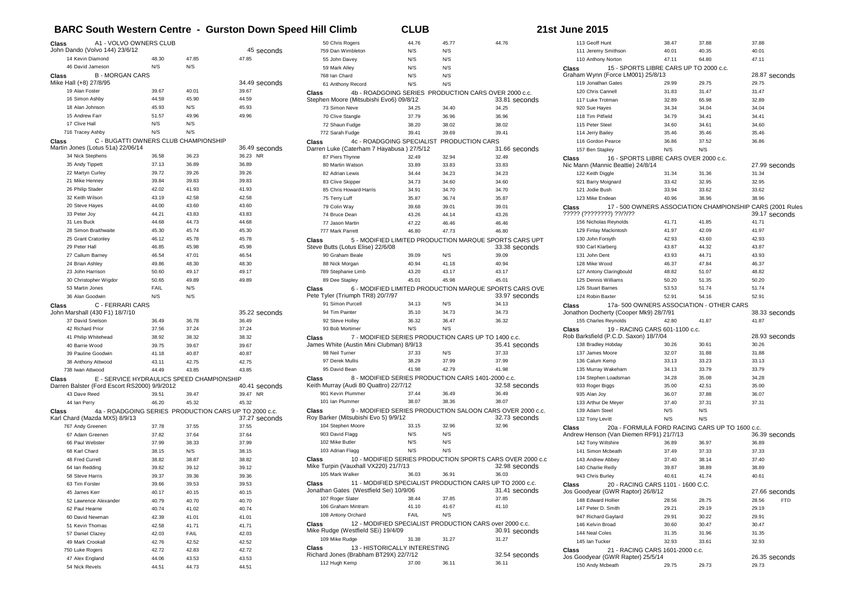## **BARC South Western Centre - Gurston Down Speed Hill Climb CLUB CLUB 21**

|  | st June 2015 |  |  |
|--|--------------|--|--|
|--|--------------|--|--|

| Class                                                 | A1 - VOLVO OWNERS CLUB                    |       |                                                                        | 50 Chris Rogers                                 | 44.76                                              | 45.77 | 44.76                                                                      |
|-------------------------------------------------------|-------------------------------------------|-------|------------------------------------------------------------------------|-------------------------------------------------|----------------------------------------------------|-------|----------------------------------------------------------------------------|
| John Dando (Volvo 144) 23/6/12                        |                                           |       | 45 seconds                                                             | 759 Dan Wimbleton                               | N/S                                                | N/S   |                                                                            |
| 14 Kevin Diamond                                      | 48.30                                     | 47.85 | 47.85                                                                  | 55 John Davey                                   | N/S                                                | N/S   |                                                                            |
| 46 David Jameson                                      | N/S                                       | N/S   |                                                                        | 59 Mark Alley                                   | N/S                                                | N/S   |                                                                            |
| Class<br><b>B-MORGAN CARS</b>                         |                                           |       |                                                                        | 768 Ian Chard                                   | N/S                                                | N/S   |                                                                            |
| Mike Hall (+8) 27/8/95                                |                                           |       | 34.49 seconds                                                          | 61 Anthony Record                               | N/S                                                | N/S   |                                                                            |
| 19 Alan Foster                                        | 39.67                                     | 40.01 | 39.67                                                                  | Class                                           |                                                    |       | 4b - ROADGOING SERIES PRODUCTION CARS OVER 2000 c.c.                       |
| 16 Simon Ashby                                        | 44.59                                     | 45.90 | 44.59                                                                  | Stephen Moore (Mitsubishi Evo6) 09/8/12         |                                                    |       | 33.81 seconds                                                              |
| 18 Alan Johnson                                       | 45.93                                     | N/S   | 45.93                                                                  | 73 Simon Neve                                   | 34.25                                              | 34.40 | 34.25                                                                      |
| 15 Andrew Farr                                        | 51.57                                     | 49.96 | 49.96                                                                  | 70 Clive Stangle                                | 37.79                                              | 36.96 | 36.96                                                                      |
| 17 Clive Hall                                         | N/S                                       | N/S   |                                                                        | 72 Shaun Fudge                                  | 38.20                                              | 38.02 | 38.02                                                                      |
| 716 Tracey Ashby                                      | N/S                                       | N/S   |                                                                        | 772 Sarah Fudge                                 | 39.41                                              | 39.69 | 39.41                                                                      |
| Class                                                 | C - BUGATTI OWNERS CLUB CHAMPIONSHIP      |       |                                                                        | Class                                           | 4c - ROADGOING SPECIALIST PRODUCTION CARS          |       |                                                                            |
| Martin Jones (Lotus 51a) 22/06/14                     |                                           |       | 36.49 seconds                                                          | Darren Luke (Caterham 7 Hayabusa) 27/5/12       |                                                    |       | 31.66 seconds                                                              |
| 34 Nick Stephens                                      | 36.58                                     | 36.23 | 36.23 NR                                                               | 87 Piers Thynne                                 | 32.49                                              | 32.94 | 32.49                                                                      |
| 35 Andy Tippett                                       | 37.13                                     | 36.89 | 36.89                                                                  | 80 Martin Watson                                | 33.89                                              | 33.83 | 33.83                                                                      |
| 22 Martyn Curley                                      | 39.72                                     | 39.26 | 39.26                                                                  | 82 Adrian Lewis                                 | 34.44                                              | 34.23 | 34.23                                                                      |
| 21 Mike Henney                                        | 39.84                                     | 39.83 | 39.83                                                                  | 83 Clive Skipper                                | 34.73                                              | 34.60 | 34.60                                                                      |
| 26 Philip Stader                                      | 42.02                                     | 41.93 | 41.93                                                                  | 85 Chris Howard-Harris                          | 34.91                                              | 34.70 | 34.70                                                                      |
| 32 Keith Wilson                                       | 43.19                                     | 42.58 | 42.58                                                                  | 75 Terry Luff                                   | 35.87                                              | 36.74 | 35.87                                                                      |
| 20 Steve Hayes                                        | 44.00                                     | 43.60 | 43.60                                                                  | 79 Colin Way                                    | 39.68                                              | 39.01 | 39.01                                                                      |
| 33 Peter Joy                                          | 44.21                                     | 43.83 | 43.83                                                                  | 74 Bruce Dean                                   | 43.26                                              | 44.14 | 43.26                                                                      |
| 31 Les Buck                                           | 44.68                                     | 44.73 | 44.68                                                                  | 77 Jason Martin                                 | 47.22                                              | 46.46 | 46.46                                                                      |
| 28 Simon Braithwaite                                  | 45.30                                     | 45.74 | 45.30                                                                  | 777 Mark Parrett                                | 46.80                                              | 47.73 | 46.80                                                                      |
| 25 Grant Cratonley                                    | 46.12                                     | 45.78 | 45.78                                                                  | Class                                           |                                                    |       | 5 - MODIFIED LIMITED PRODUCTION MARQUE SPORTS CARS UPT                     |
| 29 Peter Hall                                         | 46.85                                     | 45.98 | 45.98                                                                  | Steve Butts (Lotus Elise) 22/6/08               |                                                    |       | 33.38 seconds                                                              |
| 27 Callum Barney                                      | 46.54                                     | 47.01 | 46.54                                                                  | 90 Graham Beale                                 | 39.09                                              | N/S   | 39.09                                                                      |
| 24 Brian Ashley                                       | 49.86                                     | 48.30 | 48.30                                                                  | 88 Nick Morgan                                  | 40.94                                              | 41.18 | 40.94                                                                      |
| 23 John Harrison                                      | 50.60                                     | 49.17 | 49.17                                                                  | 789 Stephanie Limb                              | 43.20                                              | 43.17 | 43.17                                                                      |
| 30 Christopher Wigdor                                 | 50.65                                     | 49.89 | 49.89                                                                  | 89 Dee Stapley                                  | 45.01                                              | 45.98 | 45.01                                                                      |
| 53 Martin Jones                                       | FAIL                                      | N/S   |                                                                        | Class                                           |                                                    |       | 6 - MODIFIED LIMITED PRODUCTION MARQUE SPORTS CARS OVE                     |
| 36 Alan Goodwin                                       | N/S                                       | N/S   |                                                                        | Pete Tyler (Triumph TR8) 20/7/97                |                                                    |       | 33.97 seconds                                                              |
| C - FERRARI CARS<br>Class                             |                                           |       |                                                                        | 91 Simon Purcell                                | 34.13                                              | N/S   | 34.13                                                                      |
| John Marshall (430 F1) 18/7/10                        |                                           |       | 35.22 seconds                                                          | 94 Tim Painter                                  | 35.10                                              | 34.73 | 34.73                                                                      |
| 37 David Snelson                                      | 36.49                                     | 36.78 | 36.49                                                                  | 92 Steve Holley                                 | 36.32                                              | 36.47 | 36.32                                                                      |
| 42 Richard Prior                                      | 37.56                                     | 37.24 | 37.24                                                                  | 93 Bob Mortimer                                 | N/S                                                | N/S   |                                                                            |
| 41 Philip Whitehead                                   | 38.92                                     | 38.32 | 38.32                                                                  | Class                                           |                                                    |       | 7 - MODIFIED SERIES PRODUCTION CARS UP TO 1400 c.c.                        |
| 40 Barrie Wood                                        | 39.75                                     | 39.67 | 39.67                                                                  | James White (Austin Mini Clubman) 8/9/13        |                                                    |       | 35.41 seconds                                                              |
| 39 Pauline Goodwin                                    | 41.18                                     | 40.87 | 40.87                                                                  | 98 Neil Turner                                  | 37.33                                              | N/S   | 37.33                                                                      |
| 38 Anthony Attwood                                    | 43.11                                     | 42.75 | 42.75                                                                  | 97 Derek Mullis                                 | 38.29                                              | 37.99 | 37.99                                                                      |
| 738 Iwan Attwood                                      | 44.49                                     | 43.85 | 43.85                                                                  | 95 David Bean                                   | 41.98                                              | 42.79 | 41.98                                                                      |
| Class<br>Darren Balster (Ford Escort RS2000) 9/9/2012 | E - SERVICE HYDRAULICS SPEED CHAMPIONSHIP |       | 40.41 seconds                                                          | Class<br>Keith Murray (Audi 80 Quattro) 22/7/12 | 8 - MODIFIED SERIES PRODUCTION CARS 1401-2000 c.c. |       | 32.58 seconds                                                              |
| 43 Dave Reed                                          | 39.51                                     | 39.47 | 39.47 NR                                                               | 901 Kevin Plummer                               | 37.44                                              | 36.49 | 36.49                                                                      |
| 44 Ian Perry                                          | 46.20                                     | 45.32 | 45.32                                                                  | 101 Ian Plummer                                 | 38.07                                              | 38.36 | 38.07                                                                      |
| Class<br>Karl Chard (Mazda MX5) 8/9/13                |                                           |       | 4a - ROADGOING SERIES PRODUCTION CARS UP TO 2000 c.c.<br>37.27 seconds | Class<br>Roy Barker (Mitsubishi Evo 5) 9/9/12   |                                                    |       | 9 - MODIFIED SERIES PRODUCTION SALOON CARS OVER 2000 c.c.<br>32.73 seconds |
| 767 Andy Greenen                                      | 37.78                                     | 37.55 | 37.55                                                                  | 104 Stephen Moore                               | 33.15                                              | 32.96 | 32.96                                                                      |
| 67 Adam Greenen                                       | 37.82                                     | 37.64 | 37.64                                                                  | 903 David Flagg                                 | N/S                                                | N/S   |                                                                            |
| 66 Paul Webster                                       | 37.99                                     | 38.33 | 37.99                                                                  | 102 Mike Butler                                 | N/S                                                | N/S   |                                                                            |
| 68 Karl Chard                                         | 38.15                                     | N/S   | 38.15                                                                  | 103 Adrian Flagg                                | N/S                                                | N/S   |                                                                            |
| 48 Fred Currell                                       | 38.82                                     | 38.87 | 38.82                                                                  | Class                                           |                                                    |       | 10 - MODIFIED SERIES PRODUCTION SPORTS CARS OVER 2000 c.c                  |
| 64 Ian Redding                                        | 39.82                                     | 39.12 | 39.12                                                                  | Mike Turpin (Vauxhall VX220) 21/7/13            |                                                    |       | 32.98 seconds                                                              |
| 58 Steve Harris                                       | 39.37                                     | 39.36 | 39.36                                                                  | 105 Mark Walker                                 | 36.03                                              | 36.91 | 36.03                                                                      |
| 63 Tim Forster                                        | 39.66                                     | 39.53 | 39.53                                                                  | Class                                           |                                                    |       | 11 - MODIFIED SPECIALIST PRODUCTION CARS UP TO 2000 c.c.                   |
| 45 James Kerr                                         | 40.17                                     | 40.15 | 40.15                                                                  | Jonathan Gates (Westfield Sei) 10/9/06          |                                                    |       | 31.41 seconds                                                              |
| 52 Lawrence Alexander                                 | 40.79                                     | 40.70 | 40.70                                                                  | 107 Roger Slater                                | 38.44                                              | 37.85 | 37.85                                                                      |
| 62 Paul Hearne                                        | 40.74                                     | 41.02 | 40.74                                                                  | 106 Graham Mintram                              | 41.10                                              | 41.67 | 41.10                                                                      |
| 60 David Newman                                       | 42.39                                     | 41.01 | 41.01                                                                  | 108 Antony Orchard                              | FAIL                                               | N/S   |                                                                            |
| 51 Kevin Thomas                                       | 42.58                                     | 41.71 | 41.71                                                                  | Class                                           |                                                    |       | 12 - MODIFIED SPECIALIST PRODUCTION CARS over 2000 c.c.                    |
| 57 Daniel Clazey                                      | 42.03                                     | FAIL  | 42.03                                                                  | Mike Rudge (Westfield SEi) 19/4/09              |                                                    |       | 30.91 seconds                                                              |
| 49 Mark Crookall                                      | 42.76                                     | 42.52 | 42.52                                                                  | 109 Mike Rudge                                  | 31.38                                              | 31.27 | 31.27                                                                      |
| 750 Luke Rogers                                       | 42.72                                     | 42.83 | 42.72                                                                  | Class                                           | 13 - HISTORICALLY INTERESTING                      |       |                                                                            |
| 47 Alex England                                       | 44.06                                     | 43.53 | 43.53                                                                  | Richard Jones (Brabham BT29X) 22/7/12           |                                                    |       | 32.54 seconds                                                              |
| 54 Nick Revels                                        | 44.51                                     | 44.73 | 44.51                                                                  | 112 Hugh Kemp                                   | 37.00                                              | 36.11 | 36.11                                                                      |
|                                                       |                                           |       |                                                                        |                                                 |                                                    |       |                                                                            |

| 113 Geoff Hunt                                        | 38.47 | 37.88                                          | 37.88                                                     |
|-------------------------------------------------------|-------|------------------------------------------------|-----------------------------------------------------------|
| 111 Jeremy Smithson                                   | 40.01 | 40.35                                          | 40.01                                                     |
| 110 Anthony Norton                                    | 47.11 | 64.80                                          | 47.11                                                     |
| Class<br>15 - SPORTS LIBRE CARS UP TO 2000 c.c.       |       |                                                |                                                           |
| Graham Wynn (Force LM001) 25/8/13                     |       |                                                | 28.87 seconds                                             |
| 119 Jonathan Gates                                    | 29.99 | 29.75                                          | 29.75                                                     |
| 120 Chris Cannell                                     | 31.83 | 31.47                                          | 31.47                                                     |
| 117 Luke Trotman                                      | 32.89 | 65.98                                          | 32.89                                                     |
| 920 Sue Hayes                                         | 34.34 | 34.04                                          | 34.04                                                     |
| 118 Tim Pitfield                                      | 34.79 | 34.41                                          | 34.41                                                     |
| 115 Peter Steel                                       | 34.60 | 34.61                                          | 34.60                                                     |
| 114 Jerry Bailey                                      | 35.46 | 35.46                                          | 35.46                                                     |
| 116 Gordon Pearce                                     | 36.86 | 37.52                                          | 36.86                                                     |
| 157 Ben Stapley                                       | N/S   | N/S                                            |                                                           |
| 16 - SPORTS LIBRE CARS OVER 2000 c.c.<br>Class        |       |                                                |                                                           |
| Nic Mann (Mannic Beattie) 24/8/14                     |       |                                                | 27.99 seconds                                             |
| 122 Keith Diggle                                      | 31.34 | 31.36                                          | 31.34                                                     |
| 921 Barry Moignard                                    | 33.42 | 32.95                                          | 32.95                                                     |
| 121 Jodie Bush                                        | 33.94 | 33.62                                          | 33.62                                                     |
| 123 Mike Endean                                       | 40.96 | 38.96                                          | 38.96                                                     |
| Class                                                 |       |                                                | 17 - 500 OWNERS ASSOCIATION CHAMPIONSHIP CARS (2001 Rules |
| ????? (????????) ??/?/??                              |       |                                                | 39.17 seconds                                             |
| 156 Nicholas Reynolds                                 | 41.71 | 41.85                                          | 41.71                                                     |
| 129 Finlay Mackintosh                                 | 41.97 | 42.09                                          | 41.97                                                     |
| 130 John Forsyth                                      | 42.93 | 43.60                                          | 42.93                                                     |
| 930 Carl Klarberg                                     | 43.87 | 44.32                                          | 43.87                                                     |
| 131 John Dent                                         | 43.93 | 44.71                                          | 43.93                                                     |
| 128 Mike Wood                                         | 46.37 | 47.84                                          | 46.37                                                     |
| 127 Antony Claringbould                               | 48.82 | 51.07                                          | 48.82                                                     |
| 125 Dennis Williams                                   | 50.20 | 51.35                                          | 50.20                                                     |
| 126 Stuart Barnes                                     | 53.53 | 51.74                                          |                                                           |
|                                                       |       |                                                | 51.74                                                     |
|                                                       |       |                                                |                                                           |
| 124 Robin Baxter                                      | 52.91 | 54.16                                          | 52.91                                                     |
| Class                                                 |       | 17a-500 OWNERS ASSOCIATION - OTHER CARS        |                                                           |
| Jonathon Docherty (Cooper Mk9) 28/7/91                |       |                                                | 38.33 seconds                                             |
| 155 Charles Reynolds                                  | 42.80 | 41.87                                          | 41.87                                                     |
| Class<br>19 - RACING CARS 601-1100 c.c.               |       |                                                |                                                           |
| Rob Barksfield (P.C.D. Saxon) 18/7/04                 |       |                                                | 28.93 seconds                                             |
| 138 Bradley Hobday                                    | 30.26 | 30.61                                          | 30.26                                                     |
| 137 James Moore                                       | 32.07 | 31.88                                          | 31.88                                                     |
| 136 Calum Kemp                                        | 33.13 | 33.23                                          | 33.13                                                     |
| 135 Murray Wakeham                                    | 34.13 | 33.79                                          | 33.79                                                     |
| 134 Stephen Loadsman                                  | 34.28 | 35.08                                          | 34.28                                                     |
| 933 Roger Biggs                                       | 35.00 | 42.51                                          | 35.00                                                     |
| 935 Alan Joy                                          | 36.07 | 37.88                                          | 36.07                                                     |
| 133 Arthur De Meyer                                   | 37.40 | 37.31                                          | 37.31                                                     |
| 139 Adam Steel                                        | N/S   | N/S                                            |                                                           |
| 132 Tony Levitt                                       | N/S   | N/S                                            |                                                           |
| Class                                                 |       | 20a - FORMULA FORD RACING CARS UP TO 1600 c.c. |                                                           |
| Andrew Henson (Van Diemen RF91) 21/7/13               |       |                                                | 36.39 seconds                                             |
| 142 Tony Wiltshire                                    | 36.89 | 36.97                                          | 36.89                                                     |
| 141 Simon Mcbeath                                     | 37.49 | 37.33                                          | 37.33                                                     |
| 143 Andrew Abbey                                      | 37.40 | 38.14                                          | 37.40                                                     |
| 140 Charlie Reilly                                    | 39.87 | 38.89                                          | 38.89                                                     |
| 943 Chris Burley                                      | 40.61 | 41.74                                          | 40.61                                                     |
| 20 - RACING CARS 1101 - 1600 C.C.<br>Class            |       |                                                |                                                           |
| Jos Goodyear (GWR Raptor) 26/8/12                     |       |                                                | 27.66 seconds                                             |
| 148 Edward Hollier                                    | 28.56 | 28.75                                          | <b>FTD</b><br>28.56                                       |
| 147 Peter D. Smith                                    | 29.21 | 29.19                                          | 29.19                                                     |
| 947 Richard Gaylard                                   | 29.91 | 30.22                                          | 29.91                                                     |
| 146 Kelvin Broad                                      | 30.60 | 30.47                                          | 30.47                                                     |
| 144 Neal Coles                                        | 31.35 | 31.96                                          | 31.35                                                     |
| 145 Ian Tucker                                        | 32.93 | 33.61                                          | 32.93                                                     |
| 21 - RACING CARS 1601-2000 c.c.<br>Class              |       |                                                |                                                           |
| Jos Goodyear (GWR Rapter) 25/5/14<br>150 Andy Mcbeath | 29.75 | 29.73                                          | 26.35 seconds<br>29.73                                    |